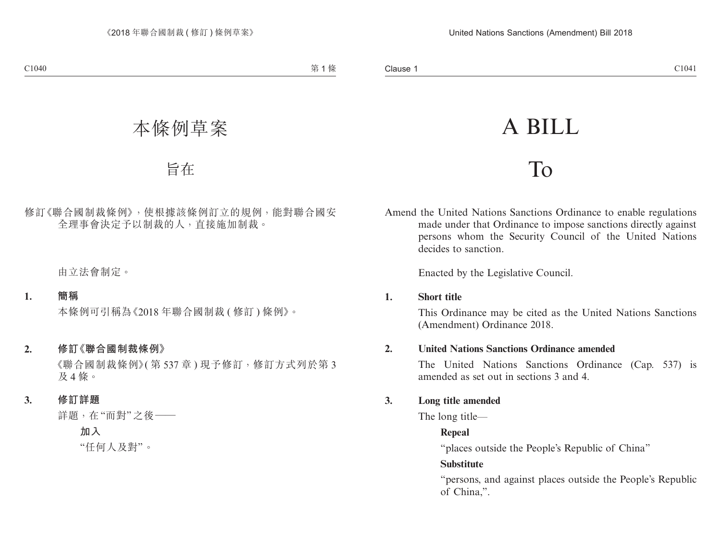# A BILL

# To

Amend the United Nations Sanctions Ordinance to enable regulations made under that Ordinance to impose sanctions directly against persons whom the Security Council of the United Nations decides to sanction.

Enacted by the Legislative Council.

# **1. Short title**

This Ordinance may be cited as the United Nations Sanctions (Amendment) Ordinance 2018.

# **2. United Nations Sanctions Ordinance amended**

The United Nations Sanctions Ordinance (Cap. 537) is amended as set out in sections 3 and 4.

# **3. Long title amended**

The long title—

# **Repeal**

"places outside the People's Republic of China"

# **Substitute**

"persons, and against places outside the People's Republic of China,".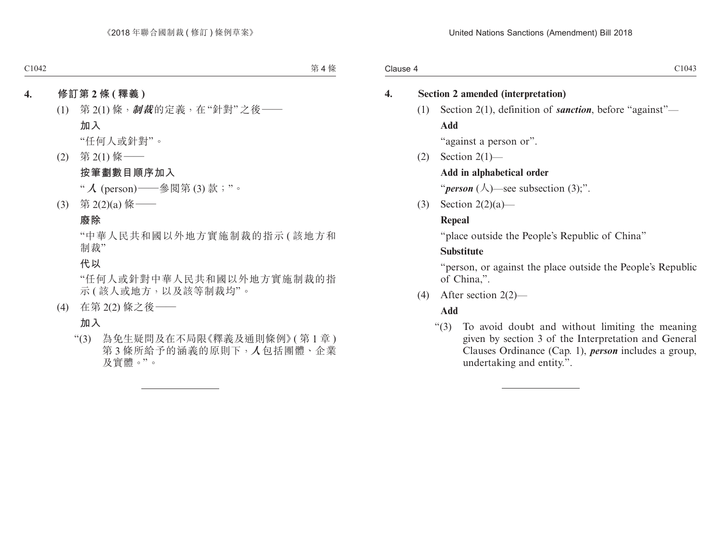#### **4. Section 2 amended (interpretation)**

(1) Section 2(1), definition of *sanction*, before "against"— **Add**

"against a person or".

 $(2)$  Section  $2(1)$ —

#### **Add in alphabetical order**

"*person*  $(\lambda)$ —see subsection  $(3)$ ;".

(3) Section  $2(2)(a)$ —

#### **Repeal**

"place outside the People's Republic of China"

#### **Substitute**

"person, or against the place outside the People's Republic of China,".

(4) After section 2(2)—

# **Add**

"(3) To avoid doubt and without limiting the meaning given by section 3 of the Interpretation and General Clauses Ordinance (Cap. 1), *person* includes a group, undertaking and entity.".